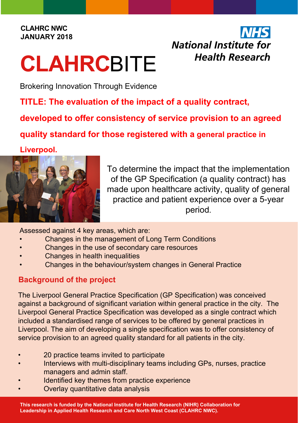#### **CLAHRC NWC JANUARY 2018**

# **CLAHRC**BITE

## National Institute for **Health Research**

Brokering Innovation Through Evidence

**TITLE: The evaluation of the impact of a quality contract,** 

**developed to offer consistency of service provision to an agreed** 

**quality standard for those registered with a general practice in** 

**Liverpool.**



To determine the impact that the implementation of the GP Specification (a quality contract) has made upon healthcare activity, quality of general practice and patient experience over a 5-year period.

Assessed against 4 key areas, which are:

- Changes in the management of Long Term Conditions
- Changes in the use of secondary care resources
- **Changes in health inequalities**
- Changes in the behaviour/system changes in General Practice

#### **Background of the project**

The Liverpool General Practice Specification (GP Specification) was conceived against a background of significant variation within general practice in the city. The Liverpool General Practice Specification was developed as a single contract which included a standardised range of services to be offered by general practices in Liverpool. The aim of developing a single specification was to offer consistency of service provision to an agreed quality standard for all patients in the city.

- 20 practice teams invited to participate
- Interviews with multi-disciplinary teams including GPs, nurses, practice managers and admin staff.
- Identified key themes from practice experience
- Overlay quantitative data analysis

**This research is funded by the National Institute for Health Research (NIHR) Collaboration for Leadership in Applied Health Research and Care North West Coast (CLAHRC NWC).**